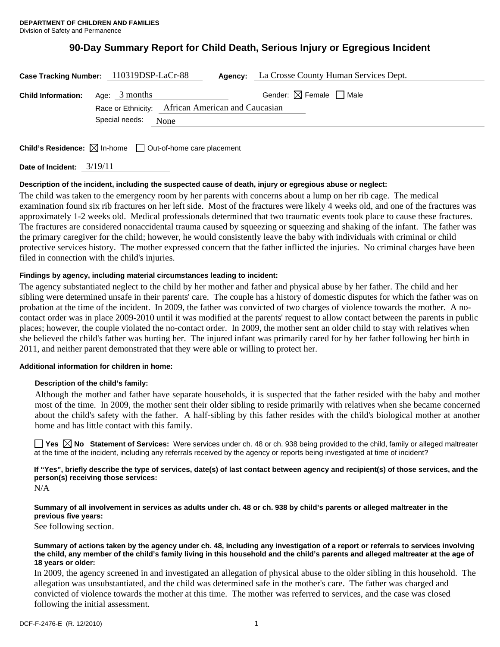# **90-Day Summary Report for Child Death, Serious Injury or Egregious Incident**

| Case Tracking Number: 110319DSP-LaCr-88   |                |                                                   | <b>Agency:</b> La Crosse County Human Services Dept. |  |
|-------------------------------------------|----------------|---------------------------------------------------|------------------------------------------------------|--|
| <b>Child Information:</b> Age: $3$ months |                |                                                   | Gender: $\boxtimes$ Female $\Box$ Male               |  |
|                                           |                | Race or Ethnicity: African American and Caucasian |                                                      |  |
|                                           | Special needs: | None                                              |                                                      |  |
|                                           |                |                                                   |                                                      |  |

**Child's Residence:**  $\boxtimes$  In-home  $\Box$  Out-of-home care placement

**Date of Incident:** 3/19/11

# **Description of the incident, including the suspected cause of death, injury or egregious abuse or neglect:**

The child was taken to the emergency room by her parents with concerns about a lump on her rib cage. The medical examination found six rib fractures on her left side. Most of the fractures were likely 4 weeks old, and one of the fractures was approximately 1-2 weeks old. Medical professionals determined that two traumatic events took place to cause these fractures. The fractures are considered nonaccidental trauma caused by squeezing or squeezing and shaking of the infant. The father was the primary caregiver for the child; however, he would consistently leave the baby with individuals with criminal or child protective services history. The mother expressed concern that the father inflicted the injuries. No criminal charges have been filed in connection with the child's injuries.

# **Findings by agency, including material circumstances leading to incident:**

The agency substantiated neglect to the child by her mother and father and physical abuse by her father. The child and her sibling were determined unsafe in their parents' care. The couple has a history of domestic disputes for which the father was on probation at the time of the incident. In 2009, the father was convicted of two charges of violence towards the mother. A nocontact order was in place 2009-2010 until it was modified at the parents' request to allow contact between the parents in public places; however, the couple violated the no-contact order. In 2009, the mother sent an older child to stay with relatives when she believed the child's father was hurting her. The injured infant was primarily cared for by her father following her birth in 2011, and neither parent demonstrated that they were able or willing to protect her.

## **Additional information for children in home:**

## **Description of the child's family:**

Although the mother and father have separate households, it is suspected that the father resided with the baby and mother most of the time. In 2009, the mother sent their older sibling to reside primarily with relatives when she became concerned about the child's safety with the father. A half-sibling by this father resides with the child's biological mother at another home and has little contact with this family.

**Yes**  $\boxtimes$  **No** Statement of Services: Were services under ch. 48 or ch. 938 being provided to the child, family or alleged maltreater at the time of the incident, including any referrals received by the agency or reports being investigated at time of incident?

**If "Yes", briefly describe the type of services, date(s) of last contact between agency and recipient(s) of those services, and the person(s) receiving those services:** 

N/A

## **Summary of all involvement in services as adults under ch. 48 or ch. 938 by child's parents or alleged maltreater in the previous five years:**

See following section.

#### **Summary of actions taken by the agency under ch. 48, including any investigation of a report or referrals to services involving the child, any member of the child's family living in this household and the child's parents and alleged maltreater at the age of 18 years or older:**

In 2009, the agency screened in and investigated an allegation of physical abuse to the older sibling in this household. The allegation was unsubstantiated, and the child was determined safe in the mother's care. The father was charged and convicted of violence towards the mother at this time. The mother was referred to services, and the case was closed following the initial assessment.